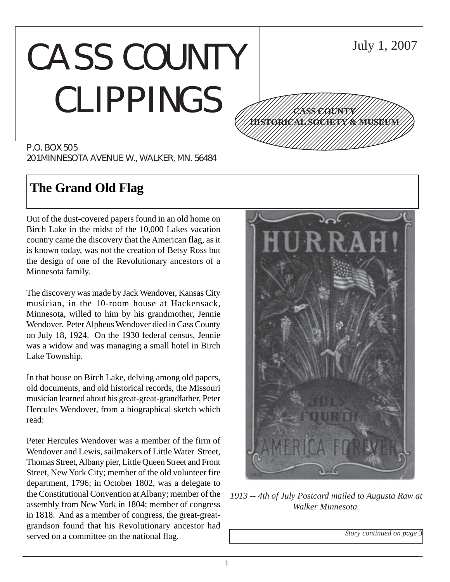# CASS COUNTY CLIPPINGS



P.O. BOX 505 201 MINNESOTA AVENUE W., WALKER, MN. 56484

# **The Grand Old Flag**

Out of the dust-covered papers found in an old home on Birch Lake in the midst of the 10,000 Lakes vacation country came the discovery that the American flag, as it is known today, was not the creation of Betsy Ross but the design of one of the Revolutionary ancestors of a Minnesota family.

The discovery was made by Jack Wendover, Kansas City musician, in the 10-room house at Hackensack, Minnesota, willed to him by his grandmother, Jennie Wendover. Peter Alpheus Wendover died in Cass County on July 18, 1924. On the 1930 federal census, Jennie was a widow and was managing a small hotel in Birch Lake Township.

In that house on Birch Lake, delving among old papers, old documents, and old historical records, the Missouri musician learned about his great-great-grandfather, Peter Hercules Wendover, from a biographical sketch which read:

Peter Hercules Wendover was a member of the firm of Wendover and Lewis, sailmakers of Little Water Street, Thomas Street, Albany pier, Little Queen Street and Front Street, New York City; member of the old volunteer fire department, 1796; in October 1802, was a delegate to the Constitutional Convention at Albany; member of the assembly from New York in 1804; member of congress in 1818. And as a member of congress, the great-greatgrandson found that his Revolutionary ancestor had served on a committee on the national flag.



*1913 -- 4th of July Postcard mailed to Augusta Raw at Walker Minnesota.*

*Story continued on page 3*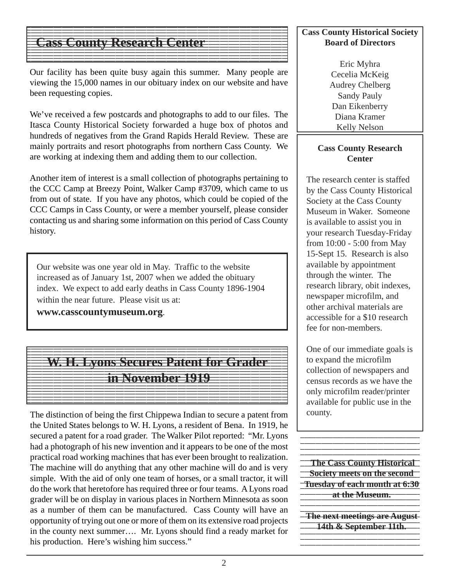#### $1$  9  $\pm$  9  $\pm$  9  $\pm$  9  $\pm$  9  $\pm$  9  $\pm$  9  $\pm$  9  $\pm$  9  $\pm$  9  $\pm$  9  $\pm$  9  $\pm$  9  $\pm$  9  $\pm$  9  $\pm$  9  $\pm$  9  $\pm$  9  $\pm$  9  $\pm$  9  $\pm$  9  $\pm$  9  $\pm$  9  $\pm$  9  $\pm$  9  $\pm$  9  $\pm$  9  $\pm$  9  $\pm$  9  $\pm$  9  $\pm$  9  $\pm$  **Cass County Research Center**  $\blacksquare$

Our facility has been quite busy again this summer. Many people are viewing the 15,000 names in our obituary index on our website and have been requesting copies.

123456789012345678901234567890121234567890123456789012345678901212345678901234567890123456789 123456789012345678901234567890121234567890123456789012345678901212345678901234567890123456789

123456789012345678901234567890121234567890123456789012345678901212345678901234567890123456789  $1$  9  $\pm$  9  $\pm$  9  $\pm$  9  $\pm$  9  $\pm$  9  $\pm$  9  $\pm$  9  $\pm$  9  $\pm$  9  $\pm$  9  $\pm$  9  $\pm$  9  $\pm$  9  $\pm$  9  $\pm$  9  $\pm$  9  $\pm$  9  $\pm$  9  $\pm$  9  $\pm$  9  $\pm$  9  $\pm$  9  $\pm$  9  $\pm$  9  $\pm$  9  $\pm$  9  $\pm$  9  $\pm$  9  $\pm$  9  $\pm$  9  $\pm$  123456789012345678901234567890121234567890123456789012345678901212345678901234567890123456789 12345678901234567890123456789012345678901234567890123456789012345678901234567890123456789012345678901234567890

We've received a few postcards and photographs to add to our files. The Itasca County Historical Society forwarded a huge box of photos and hundreds of negatives from the Grand Rapids Herald Review. These are mainly portraits and resort photographs from northern Cass County. We are working at indexing them and adding them to our collection.

Another item of interest is a small collection of photographs pertaining to the CCC Camp at Breezy Point, Walker Camp #3709, which came to us from out of state. If you have any photos, which could be copied of the CCC Camps in Cass County, or were a member yourself, please consider contacting us and sharing some information on this period of Cass County history.

Our website was one year old in May. Traffic to the website increased as of January 1st, 2007 when we added the obituary index. We expect to add early deaths in Cass County 1896-1904 within the near future. Please visit us at:

**www.casscountymuseum.org**.

#### 123456789012345678901234567890121234567890123456789012345678901212345678901234567890123456789 12345678901234567890123456789012345678901234567890123456789012345678901234567890123456789012345678901234567890 Welle byons Scenres Patent for Grader  $1235678901234567890123456789012345678901234567890123456789012345678901234567890123456789012345678901234567890123456789012345678901234567890012345678900123456789001234567890012345678900123456789001234567890012345678900123$ 123456789012345678901234567890121234567890123456789012345678901212345678901234567890123456789 in November 1919  $1$  9  $\pm$  9  $\pm$  9  $\pm$  9  $\pm$  9  $\pm$  9  $\pm$  9  $\pm$  9  $\pm$  9  $\pm$  9  $\pm$  9  $\pm$  9  $\pm$  9  $\pm$  9  $\pm$  9  $\pm$  9  $\pm$  9  $\pm$  9  $\pm$  9  $\pm$  9  $\pm$  9  $\pm$  9  $\pm$  9  $\pm$  9  $\pm$  9  $\pm$  9  $\pm$  9  $\pm$  9  $\pm$  9  $\pm$  9  $\pm$  9  $\pm$  123456789012345678901234567890121234567890123456789012345678901212345678901234567890123456789 12345678901234567890123456789012345678901234567890123456789012345678901234567890123456789012345678901234567890 123456789012345678901234567890121234567890123456789012345678901212345678901234567890123456789  $1$  9  $\pm$  9  $\pm$  9  $\pm$  9  $\pm$  9  $\pm$  9  $\pm$  9  $\pm$  9  $\pm$  9  $\pm$  9  $\pm$  9  $\pm$  9  $\pm$  9  $\pm$  9  $\pm$  9  $\pm$  9  $\pm$  9  $\pm$  9  $\pm$  9  $\pm$  9  $\pm$  9  $\pm$  9  $\pm$  9  $\pm$  9  $\pm$  9  $\pm$  9  $\pm$  9  $\pm$  9  $\pm$  9  $\pm$  9  $\pm$  9  $\pm$

123456789012345678901234567890121234567890123456789012345678901212345678901234567890123456789 12345678901234567890123456789012345678901234567890123456789012345678901234567890123456789012345678901234567890

12345678901234567890123456789012345678901234567890123456789012345678901234567890123456789012345678901234567890

The distinction of being the first Chippewa Indian to secure a patent from the United States belongs to W. H. Lyons, a resident of Bena. In 1919, he secured a patent for a road grader. The Walker Pilot reported: "Mr. Lyons had a photograph of his new invention and it appears to be one of the most practical road working machines that has ever been brought to realization. The machine will do anything that any other machine will do and is very simple. With the aid of only one team of horses, or a small tractor, it will do the work that heretofore has required three or four teams. A Lyons road grader will be on display in various places in Northern Minnesota as soon as a number of them can be manufactured. Cass County will have an opportunity of trying out one or more of them on its extensive road projects in the county next summer…. Mr. Lyons should find a ready market for his production. Here's wishing him success."

#### **Cass County Historical Society Board of Directors**

Eric Myhra Cecelia McKeig Audrey Chelberg Sandy Pauly Dan Eikenberry Diana Kramer Kelly Nelson

#### **Cass County Research Center**

The research center is staffed by the Cass County Historical Society at the Cass County Museum in Waker. Someone is available to assist you in your research Tuesday-Friday from 10:00 - 5:00 from May 15-Sept 15. Research is also available by appointment through the winter. The research library, obit indexes, newspaper microfilm, and other archival materials are accessible for a \$10 research fee for non-members.

One of our immediate goals is to expand the microfilm collection of newspapers and census records as we have the only microfilm reader/printer available for public use in the county.

123456789012345678901234567890123456789012345678901234567890123456789012345678901

**The Cass County Historical 12356 Society meets on the second Tuesday of each month at 6:30 12345 at the Museum.** The Museum.

**-The next meetings are August-**1234 September 1234 September 1235 September 1235 September 1235 September 1235 September 1235 September 1235 **14th & September 11th.** 1234567890123456789012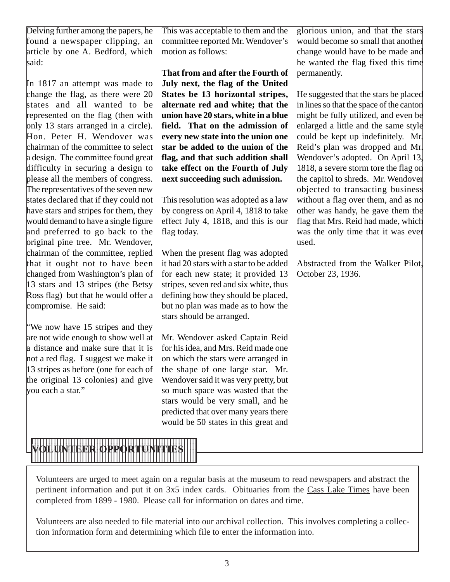Delving further among the papers, he found a newspaper clipping, an article by one A. Bedford, which kaid:

In 1817 an attempt was made to change the flag, as there were 20 states and all wanted to be represented on the flag (then with only 13 stars arranged in a circle). Hon. Peter H. Wendover was chairman of the committee to select a design. The committee found great difficulty in securing a design to please all the members of congress. The representatives of the seven new states declared that if they could not have stars and stripes for them, they would demand to have a single figure and preferred to go back to the original pine tree. Mr. Wendover, chairman of the committee, replied that it ought not to have been changed from Washington's plan of 13 stars and 13 stripes (the Betsy Ross flag) but that he would offer a compromise. He said:

"We now have 15 stripes and they are not wide enough to show well at a distance and make sure that it is not a red flag. I suggest we make it 13 stripes as before (one for each of the original 13 colonies) and give you each a star."

This was acceptable to them and the committee reported Mr. Wendover's motion as follows:

**That from and after the Fourth of July next, the flag of the United States be 13 horizontal stripes, alternate red and white; that the union have 20 stars, white in a blue field. That on the admission of every new state into the union one star be added to the union of the flag, and that such addition shall take effect on the Fourth of July next succeeding such admission.**

This resolution was adopted as a law by congress on April 4, 1818 to take effect July 4, 1818, and this is our flag today.

When the present flag was adopted it had 20 stars with a star to be added for each new state; it provided 13 stripes, seven red and six white, thus defining how they should be placed, but no plan was made as to how the stars should be arranged.

Mr. Wendover asked Captain Reid for his idea, and Mrs. Reid made one on which the stars were arranged in the shape of one large star. Mr. Wendover said it was very pretty, but so much space was wasted that the stars would be very small, and he predicted that over many years there would be 50 states in this great and

glorious union, and that the stars would become so small that another change would have to be made and he wanted the flag fixed this time permanently.

He suggested that the stars be placed in lines so that the space of the canton might be fully utilized, and even be enlarged a little and the same style could be kept up indefinitely. Mr. Reid's plan was dropped and Mr. Wendover's adopted. On April 13, 1818, a severe storm tore the flag on the capitol to shreds. Mr. Wendover objected to transacting business without a flag over them, and as no other was handy, he gave them the flag that Mrs. Reid had made, which was the only time that it was ever used.

Abstracted from the Walker Pilot, October 23, 1936.



Volunteers are urged to meet again on a regular basis at the museum to read newspapers and abstract the pertinent information and put it on 3x5 index cards. Obituaries from the Cass Lake Times have been completed from 1899 - 1980. Please call for information on dates and time.

Volunteers are also needed to file material into our archival collection. This involves completing a collection information form and determining which file to enter the information into.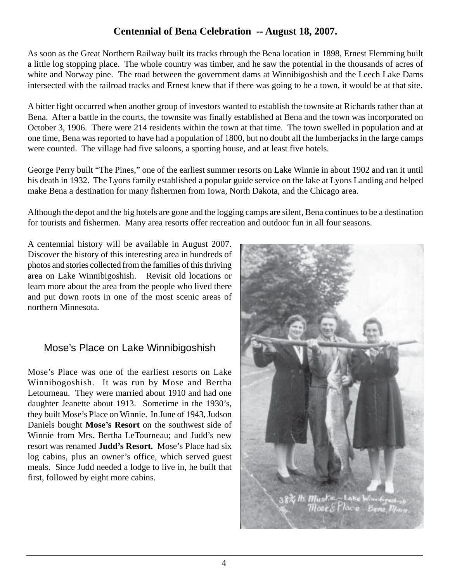## **Centennial of Bena Celebration -- August 18, 2007.**

As soon as the Great Northern Railway built its tracks through the Bena location in 1898, Ernest Flemming built a little log stopping place. The whole country was timber, and he saw the potential in the thousands of acres of white and Norway pine. The road between the government dams at Winnibigoshish and the Leech Lake Dams intersected with the railroad tracks and Ernest knew that if there was going to be a town, it would be at that site.

A bitter fight occurred when another group of investors wanted to establish the townsite at Richards rather than at Bena. After a battle in the courts, the townsite was finally established at Bena and the town was incorporated on October 3, 1906. There were 214 residents within the town at that time. The town swelled in population and at one time, Bena was reported to have had a population of 1800, but no doubt all the lumberjacks in the large camps were counted. The village had five saloons, a sporting house, and at least five hotels.

George Perry built "The Pines," one of the earliest summer resorts on Lake Winnie in about 1902 and ran it until his death in 1932. The Lyons family established a popular guide service on the lake at Lyons Landing and helped make Bena a destination for many fishermen from Iowa, North Dakota, and the Chicago area.

Although the depot and the big hotels are gone and the logging camps are silent, Bena continues to be a destination for tourists and fishermen. Many area resorts offer recreation and outdoor fun in all four seasons.

A centennial history will be available in August 2007. Discover the history of this interesting area in hundreds of photos and stories collected from the families of this thriving area on Lake Winnibigoshish. Revisit old locations or learn more about the area from the people who lived there and put down roots in one of the most scenic areas of northern Minnesota.

### Mose's Place on Lake Winnibigoshish

Mose's Place was one of the earliest resorts on Lake Winnibogoshish. It was run by Mose and Bertha Letourneau. They were married about 1910 and had one daughter Jeanette about 1913. Sometime in the 1930's, they built Mose's Place on Winnie. In June of 1943, Judson Daniels bought **Mose's Resort** on the southwest side of Winnie from Mrs. Bertha LeTourneau; and Judd's new resort was renamed **Judd's Resort.** Mose's Place had six log cabins, plus an owner's office, which served guest meals. Since Judd needed a lodge to live in, he built that first, followed by eight more cabins.

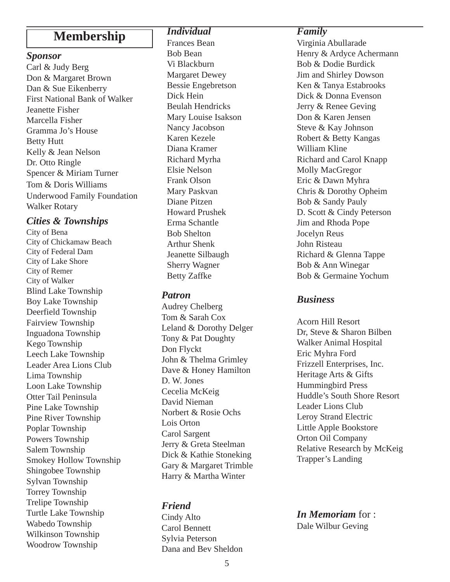## **Membership**

#### *Sponsor*

Carl & Judy Berg Don & Margaret Brown Dan & Sue Eikenberry First National Bank of Walker Jeanette Fisher Marcella Fisher Gramma Jo's House Betty Hutt Kelly & Jean Nelson Dr. Otto Ringle Spencer & Miriam Turner Tom & Doris Williams Underwood Family Foundation Walker Rotary

#### *Cities & Townships*

City of Bena City of Chickamaw Beach City of Federal Dam City of Lake Shore City of Remer City of Walker Blind Lake Township Boy Lake Township Deerfield Township Fairview Township Inguadona Township Kego Township Leech Lake Township Leader Area Lions Club Lima Township Loon Lake Township Otter Tail Peninsula Pine Lake Township Pine River Township Poplar Township Powers Township Salem Township Smokey Hollow Township Shingobee Township Sylvan Township Torrey Township Trelipe Township Turtle Lake Township Wabedo Township Wilkinson Township Woodrow Township

#### *Individual*

Frances Bean Bob Bean Vi Blackburn Margaret Dewey Bessie Engebretson Dick Hein Beulah Hendricks Mary Louise Isakson Nancy Jacobson Karen Kezele Diana Kramer Richard Myrha Elsie Nelson Frank Olson Mary Paskvan Diane Pitzen Howard Prushek Erma Schantle Bob Shelton Arthur Shenk Jeanette Silbaugh Sherry Wagner Betty Zaffke

#### *Patron*

Audrey Chelberg Tom & Sarah Cox Leland & Dorothy Delger Tony & Pat Doughty Don Flyckt John & Thelma Grimley Dave & Honey Hamilton D. W. Jones Cecelia McKeig David Nieman Norbert & Rosie Ochs Lois Orton Carol Sargent Jerry & Greta Steelman Dick & Kathie Stoneking Gary & Margaret Trimble Harry & Martha Winter

#### *Friend*

Cindy Alto Carol Bennett Sylvia Peterson Dana and Bev Sheldon

#### *Family*

Virginia Abullarade Henry & Ardyce Achermann Bob & Dodie Burdick Jim and Shirley Dowson Ken & Tanya Estabrooks Dick & Donna Evenson Jerry & Renee Geving Don & Karen Jensen Steve & Kay Johnson Robert & Betty Kangas William Kline Richard and Carol Knapp Molly MacGregor Eric & Dawn Myhra Chris & Dorothy Opheim Bob & Sandy Pauly D. Scott & Cindy Peterson Jim and Rhoda Pope Jocelyn Reus John Risteau Richard & Glenna Tappe Bob & Ann Winegar Bob & Germaine Yochum

#### *Business*

Acorn Hill Resort Dr, Steve & Sharon Bilben Walker Animal Hospital Eric Myhra Ford Frizzell Enterprises, Inc. Heritage Arts & Gifts Hummingbird Press Huddle's South Shore Resort Leader Lions Club Leroy Strand Electric Little Apple Bookstore Orton Oil Company Relative Research by McKeig Trapper's Landing

#### *In Memoriam* for : Dale Wilbur Geving